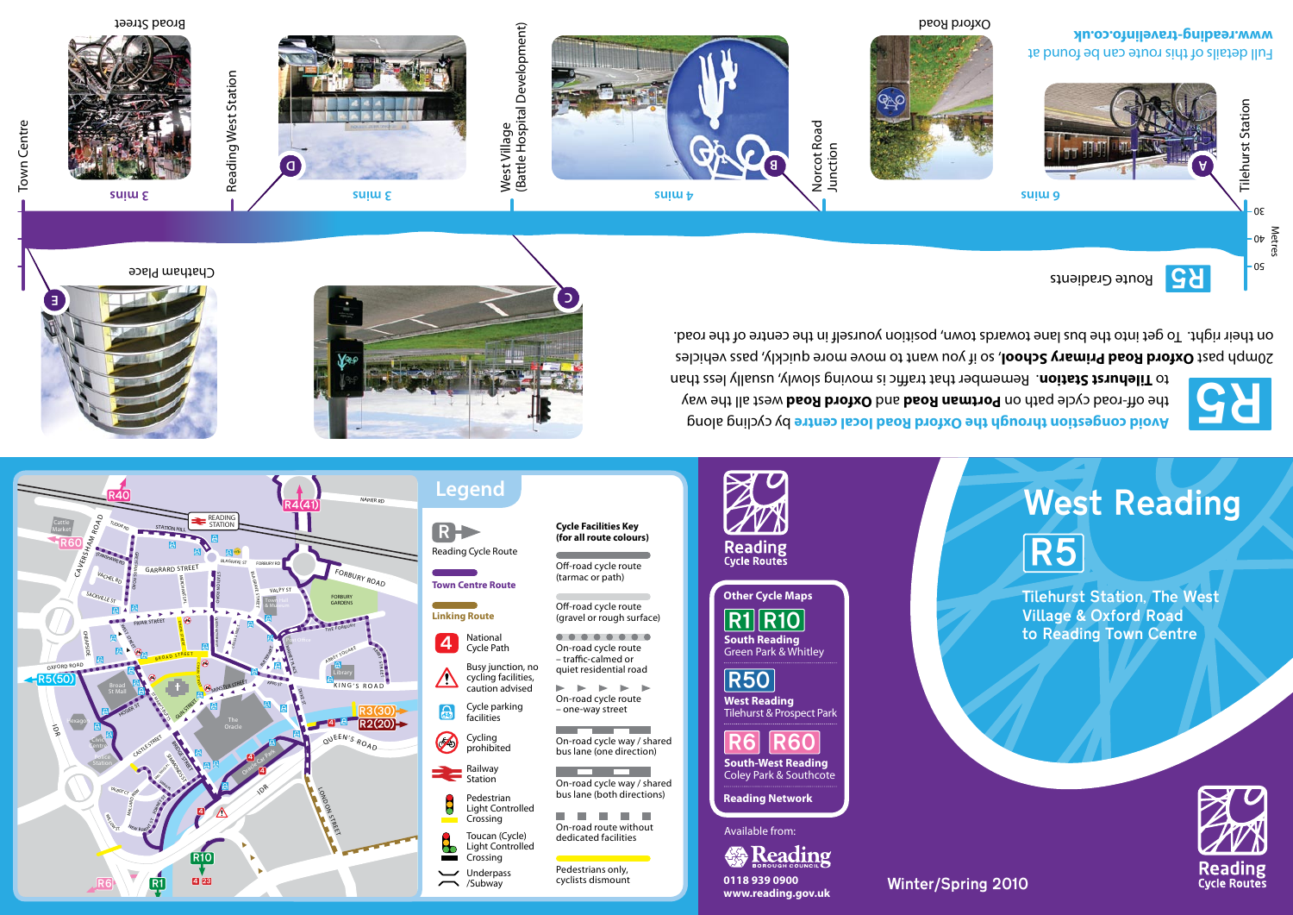

R Reading Cycle Route **Town Centre Route Linking Route** ........ 4 National<br>Cycle Path On-road cycle route – traffic-calmed or Busy junction, no cycling facilities, caution advised  $\blacktriangleright$ Cycle parking facilities Cycling prohibited Railway \_\_\_\_ **Station** Pedestrian Light Controlled **Tale III** Crossing On-road route without Toucan (Cycle) dedicated facilities Light Controlled Ъ Crossing Pedestrians only, Underpass<br>
/Subway cyclists dismount /Subway **0118 939 0900**

On-road cycle way / shared bus lane (both directions) **THE REAL** 

The Co On-road cycle way / shared bus lane (one direction)

quiet residential road  $\blacktriangleright$   $\blacktriangleright$   $\blacktriangleright$ On-road cycle route – one-way street

Off-road cycle route (gravel or rough surface)

Off-road cycle route (tarmac or path)

**Cycle Facilities Key (for all route colours)**



**South-West Reading** 

**www.reading.gov.uk** 

<u>R6 R60</u> **West Reading**  Tilehurst & Prospect Park

R50 **South Reading**  Green Park & Whitley  $R1|R10$ 

**Other Cycle Maps**

**Reading**<br>Cycle Routes

Tilehurst Station, The West Village & Oxford Road R5

to Reading Town Centre



R5

**Reading**<br>Cycle Routes

R5

Tilehurst Station

**Tilehurst Station** 

Metres 40

 $0<sup>2</sup>$ 

 $-0S$ 



Chatham Place





Reading West Station Reading West Station



West Village (Battle Hospital Development)

์ ว



Norcot Road Norcot Road<br>Junction



**Avoid congestion through the Oxford Road local centre** by cycling along the off-road cycle path on **Portman Road** and **Oxford Road** west all the way to Tilehurst Station. Remember that traffic is moving slowly, usually less than

20mph past **Oxford Road Primary School**, so if you want to move more quickly, pass vehicles on their right. To get into the bus lane towards town, position yourself in the centre of the road.

Winter/Spring 2010

Route Gradients

Full details of this route can be found at **www.reading-travelinfo.co.uk** Oxford Road

Town Centre Town Centre